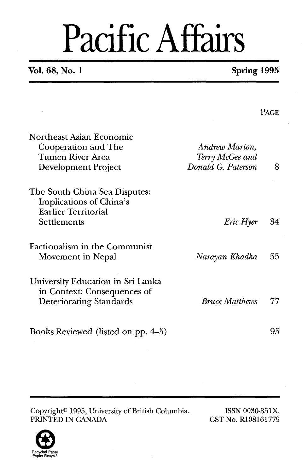## Pacific Affairs

#### **Vol. 68, No. 1 Spring 1995**

PAGE.

Northeast Asian Economic Cooperation and The Tumen River Area Development Project The South China Sea Disputes: Implications of China's Earlier Territorial **Settlements** *Andrew Marton, Terry McGee and Donald G. Paterson 8 Eric Hyer* **34**  Factionalism in the Communist Movement in Nepal *Narayan Khadka 55*  University Education in Sri Lanka in Context: Consequences of Deteriorating Standards *Bruce Matthews* 77

Copyright<sup>®</sup> 1995, University of British Columbia. ISSN 0030-851X.<br>PRINTED IN CANADA GST No. R108161779 PRINTED IN CANADA

Books Reviewed (listed on pp. 4-5)



95

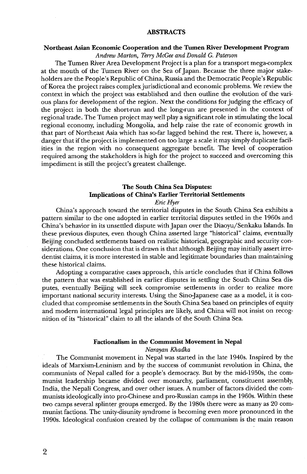#### **ABSTRACTS**

#### **Northeast Asian Economic Cooperation and the Tumen River Development Program**

*Andrew Marton, Terry McGee and Donald G. Paterson* 

The Tumen River Area Development Project is a plan for a transport mega-complex at the mouth of the Tumen River on the Sea of Japan. Because the three major stakeholders are the People's Republic of China, Russia and the Democratic People's Republic of Korea the project raises complex jurisdictional and economic problems. We review the context in which the project was established and then outline the evolution of the various plans for development of the region. Next the conditions for judging the efficacy of the project in both the short-run and the long-run are presented in the context of regional trade. The Tumen project may well play a significant role in stimulating the local regional economy, including Mongolia, and help raise the rate of economic growth in that part of Northeast Asia which has so-far lagged behind the rest. There is, however, a danger that if the project is implemented on too large a scale it may simply duplicate facilities in the region with no consequent aggregate benefit. The level of cooperation required among the stakeholders is high for the project to succeed and overcoming this impediment is still the project's greatest challenge.

#### **The South China Sea Disputes: Implications of China's Earlier Territorial Settlements**

*Eric Hyer* 

China's approach toward the territorial disputes in the South China Sea exhibits a pattern similar to the one adopted in earlier territorial disputes settled in the 1960s and China's behavior in its unsettled dispute with Japan over the Diaoyu/Senkaku Islands. In these previous disputes, even though China asserted large "historical" claims, eventually Beijing concluded settlements based on realistic historical, geographic and security considerations. One conclusion that is drawn is that although Beijing may initially assert irredentist claims, it is more interested in stable and legitimate boundaries than maintaining these historical claims.

Adopting a comparative cases approach, this article concludes that if China follows the pattern that was established in earlier disputes in settling the South China Sea disputes, eventually Beijing will seek compromise settlements in order to realize more important national security interests. Using the Sino-Japanese case as a model, it is concluded that compromise settlements in the South China Sea based on principles of equity and modern international legal principles are likely, and China will not insist on recognition of its "historical" claim to all the islands of the South China Sea.

#### **Factionalism in the Communist Movement in Nepal**

#### *Narayan Khadka*

The Communist movement in Nepal was started in the late 1940s. Inspired by the ideals of Marxism-Leninism and by the success of communist revolution in China, the communists of Nepal called for a people's democracy. But by the mid-1950s, the communist leadership became divided over monarchy, parliament, constituent assembly, India, the Nepali Congress, and over other issues. A number of factors divided the communists ideologically into pro-Chinese and pro-Russian camps in the 1960s. Within these two camps several splinter groups emerged. By the 1980s there were as many as 20 communist factions. The unitydisunity syndrome is becoming even more pronounced in the 1990s. Ideological confusion created by the collapse of communism is the main reason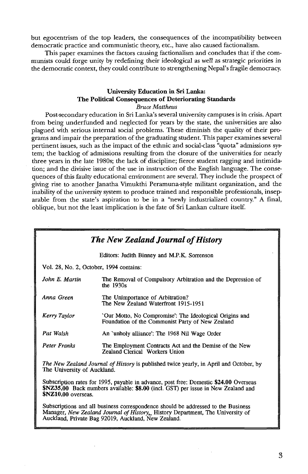but egocentrism of the top leaders, the consequences of the incompatibility between democratic practice and communistic theory, etc., have also caused factionalism.

This paper examines the factors causing factionalism and concludes that if the communists could forge unity by redefining their ideological as well as strategic priorities in the democratic context, they could contribute to strengthening Nepal's fragile democracy.

#### **University Education in Sri Lanka: The Political Consequences of Deteriorating Standards**

#### *Bruce Matthews*

Post-secondary education in Sri Lanka's several university campuses is in crisis. Apart from being underfunded and neglected for years by the state, the universities are also plagued with serious internal social problems. These diminish the quality of their programs and impair the preparation of the graduating student. This paper examines several pertinent issues, such as the impact of the ethnic and social-class "quota" admissions system; the backlog of admissions resulting from the closure of the universities for nearly three years in the late 1980s; the lack of discipline; fierce student ragging and intimidation; and the divisive issue of the use in instruction of the English language. The consequences of this faulty educational environment are several. They include the prospect of giving rise to another Janatha Vimukthi Peramuna-style militant organization, and the inability of the university system to produce trained and responsible professionals, inseparable from the state's aspiration to be in a "newly industrialized country." **A** final, oblique, but not the least implication is the fate of Sri Lankan culture itself.

| <b>The New Zealand Journal of History</b> |                                                                                                             |
|-------------------------------------------|-------------------------------------------------------------------------------------------------------------|
|                                           | Editors: Judith Binney and M.P.K. Sorrenson                                                                 |
|                                           | Vol. 28, No. 2, October, 1994 contains:                                                                     |
| John E. Martin                            | The Removal of Compulsory Arbitration and the Depression of<br>the $1930s$                                  |
| Anna Green                                | The Unimportance of Arbitration?<br>The New Zealand Waterfront 1915-1951                                    |
| Kerry Taylor                              | 'Our Motto, No Compromise': The Ideological Origins and<br>Foundation of the Communist Party of New Zealand |
| Pat Walsh                                 | An 'unholy alliance': The 1968 Nil Wage Order                                                               |
| Peter Franks                              | The Employment Contracts Act and the Demise of the New<br>Zealand Clerical Workers Union                    |
| The University of Auckland.               | <i>The New Zealand Journal of History</i> is published twice yearly, in April and October, by               |

Subscription rates for 1995, payable in advance, post free: Domestic **\$24.00** Overseas **\$NZ35.00** Back numbers available: **\$8.00** (incl. GST) per issue in New Zealand and **SNZ10.00** overseas.

Subscriptions and all business correspondence should be addressed to the Business Manager, *New Zealand Journal of History*. History Department, The University of Auckland, Private Bag 92019, Auckland, New Zealand.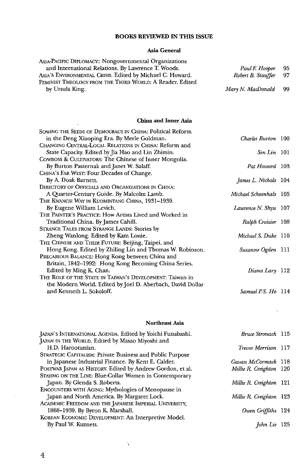#### **BOOKS REVIEWED IN THIS ISSUE**

#### **Asia General**

| ASIA-PACIFIC DIPLOMACY:: Nongovernmental Organizations    |                       |    |
|-----------------------------------------------------------|-----------------------|----|
| and International Relations. By Lawrence T. Woods.        | Paul F. Hooper        | 95 |
| ASIA'S ENVIRONMENTAL CRISIS. Edited by Michael C. Howard. | Robert B. Stauffer 97 |    |
| FEMINIST THEOLOGY FROM THE THIRD WORLD: A Reader. Edited  |                       |    |
| by Ursula King.                                           | Mary N. MacDonald     | 99 |
|                                                           |                       |    |

#### **China and Inner Asia**

 $\sim 10^{11}$  and  $\sim 10^{11}$ 

| SOWING THE SEEDS OF DEMOCRACY IN CHINA: Political Reform   |                        |  |
|------------------------------------------------------------|------------------------|--|
| in the Deng Xiaoping Era. By Merle Goldman.                | Charles Burton 100     |  |
| CHANGING CENTRAL-LOCAL RELATIONS IN CHINA: Reform and      |                        |  |
| State Capacity. Edited by Jia Hao and Lin Zhimin.          | $Sen Lin$ 101          |  |
| COWBOYS & CULTIVATORS: The Chinese of Inner Mongolia.      |                        |  |
| By Burton Pasternak and Janet W. Salaff.                   | Pat Howard 103         |  |
| CHINA's FAR WEST: Four Decades of Change.                  |                        |  |
| By A. Doak Barnett.                                        | James L. Nichols 104   |  |
| DIRECTORY OF OFFICIALS AND ORGANIZATIONS IN CHINA:         |                        |  |
| A Quarter-Century Guide. By Malcolm Lamb.                  | Michael Schoenhals 105 |  |
| THE KWANGSI WAY IN KUOMINTANG CHINA, 1931-1939.            |                        |  |
| By Eugene William Levich.                                  | Lawrence N. Shyu 107   |  |
| THE PAINTER'S PRACTICE: How Artists Lived and Worked in    |                        |  |
| Traditional China. By James Cahill.                        | Ralph Croizier 108     |  |
| STRANGE TALES FROM STRANGE LANDS: Stories by               |                        |  |
| Zheng Wanlong, Edited by Kam Louie.                        | Michael S. Duke 110    |  |
| THE CHINESE AND THEIR FUTURE: Beijing, Taipei, and         |                        |  |
| Hong Kong. Edited by Zhiling Lin and Thomas W. Robinson.   | Suzanne Ogden 111      |  |
| PRECARIOUS BALANCE: Hong Kong between China and            |                        |  |
| Britain, 1842–1992: Hong Kong Becoming China Series.       |                        |  |
| Edited by Ming K. Chan.                                    | Diana Lary 112         |  |
| THE ROLE OF THE STATE IN TAIWAN'S DEVELOPMENT: Taiwan in   |                        |  |
| the Modern World. Edited by Joel D. Aberbach, David Dollar |                        |  |
| and Kenneth L. Sokoloff.                                   | Samuel P.S. Ho 114     |  |
|                                                            |                        |  |

#### **Northeast Asia**

 $\ddot{\phantom{a}}$ 

| JAPAN'S INTERNATIONAL AGENDA. Edited by Yoichi Funabashi. | Bruce Stronach 115      |  |
|-----------------------------------------------------------|-------------------------|--|
| JAPAN IN THE WORLD. Edited by Masao Miyoshi and           |                         |  |
| H.D. Harootunian.                                         | Trevor Morrison 117     |  |
| STRATEGIC CAPITALISM: Private Business and Public Purpose |                         |  |
| in Japanese Industrial Finance. By Kent E. Calder.        | Gavan McCormack 118     |  |
| POSTWAR JAPAN AS HISTORY. Edited by Andrew Gordon, et al. | Millie R. Creighton 120 |  |
| STAYING ON THE LINE: Blue-Collar Women in Contemporary    |                         |  |
| Japan. By Glenda S. Roberts.                              | Millie R. Creighton 121 |  |
| <b>ENCOUNTERS WITH AGING: Mythologies of Menopause in</b> |                         |  |
| Japan and North America. By Margaret Lock.                | Millie R. Creighton 123 |  |
| ACADEMIC FREEDOM AND THE JAPANESE IMPERIAL UNIVERSITY,    |                         |  |
| 1868-1939. By Byron K. Marshall.                          | Owen Griffiths 124      |  |
| KOREAN ECONOMIC DEVELOPMENT: An Interpretive Model.       |                         |  |
| By Paul W. Kuznets.                                       | John Lie 125            |  |
|                                                           |                         |  |

 $\Delta$ 

J.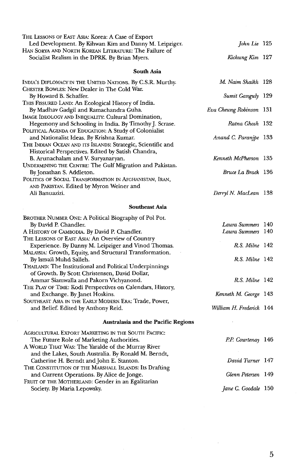| THE LESSONS OF EAST ASIA: Korea: A Case of Export<br>Led Development. By Kihwan Kim and Danny M. Leipziger.   | John Lie 125             |  |
|---------------------------------------------------------------------------------------------------------------|--------------------------|--|
| Han Sorya and North Korean Literature: The Failure of<br>Socialist Realism in the DPRK. By Brian Myers.       | Kichung Kim 127          |  |
| South Asia                                                                                                    |                          |  |
| INDIA'S DIPLOMACY IN THE UNITED NATIONS. By C.S.R. Murthy.                                                    | M. Naim Shaikh 128       |  |
| CHESTER BOWLES: New Dealer in The Cold War.                                                                   |                          |  |
| By Howard B. Schaffer.                                                                                        | Sumit Ganguly 129        |  |
| THIS FISSURED LAND: An Ecological History of India.                                                           |                          |  |
| By Madhav Gadgil and Ramachandra Guha.                                                                        | Eva Cheung Robinson 131  |  |
| IMAGE IDEOLOGY AND INEQUALITY: Cultural Domination,<br>Hegemony and Schooling in India. By Timothy J. Scrase. | Ratna Ghosh 132          |  |
| POLITICAL AGENDA OF EDUCATION: A Study of Colonialist                                                         |                          |  |
| and Nationalist Ideas. By Krishna Kumar.                                                                      | Anand C. Paranipe 133    |  |
| THE INDIAN OCEAN AND ITS ISLANDS: Strategic, Scientific and                                                   |                          |  |
| Historical Perspectives. Edited by Satish Chandra,                                                            |                          |  |
| B. Arunachalam and V. Suryanaryan.                                                                            | Kenneth McPherson 135    |  |
| UNDERMINING THE CENTRE: The Gulf Migration and Pakistan.                                                      | Bruce La Brack 136       |  |
| By Jonathan S. Addleton.<br>POLITICS OF SOCIAL TRANSFORMATION IN AFGHANISTAN, IRAN,                           |                          |  |
| AND PAKISTAN. Edited by Myron Weiner and                                                                      |                          |  |
| Ali Banuazizi.                                                                                                | Derryl N. MacLean 138    |  |
| <b>Southeast Asia</b>                                                                                         |                          |  |
|                                                                                                               |                          |  |
| Brother Number One: A Political Biography of Pol Pot.<br>By David P. Chandler.                                | Laura Summers 140        |  |
| A HISTORY OF CAMBODIA. By David P. Chandler.                                                                  | Laura Summers 140        |  |
| THE LESSONS OF EAST ASIA: An Overview of Country                                                              |                          |  |
| Experience. By Danny M. Leipziger and Vinod Thomas.                                                           | R.S. Milne 142           |  |
| MALAYSIA: Growth, Equity, and Structural Transformation.                                                      |                          |  |
| By Ismail Muhd Salleh.                                                                                        | R.S. Milne 142           |  |
| THAILAND: The Institutional and Political Underpinnings                                                       |                          |  |
| of Growth. By Scott Christensen, David Dollar,<br>Ammar Siamwalla and Pakorn Vichyanond.                      | R.S. Milne 142           |  |
| THE PLAY OF TIME: Kodi Perspectives on Calendars, History,                                                    |                          |  |
| and Exchange. By Janet Hoskins.                                                                               | Kenneth M. George 143    |  |
| SOUTHEAST ASIA IN THE EARLY MODERN ERA: Trade, Power,                                                         |                          |  |
| and Belief. Edited by Anthony Reid.                                                                           | William H. Frederick 144 |  |
| <b>Australasia and the Pacific Regions</b>                                                                    |                          |  |
| AGRICULTURAL EXPORT MARKETING IN THE SOUTH PACIFIC:                                                           |                          |  |
| The Future Role of Marketing Authorities.                                                                     | P.P. Courtenay 146       |  |
| A WORLD THAT WAS: The Yaralde of the Murray River                                                             |                          |  |
| and the Lakes, South Australia. By Ronald M. Berndt,                                                          |                          |  |
| Catherine H. Berndt and John E. Stanton.                                                                      | David Turner 147         |  |
| THE CONSTITUTION OF THE MARSHALL ISLANDS: Its Drafting                                                        | Glenn Petersen 149       |  |
| and Current Operations. By Alice de Jonge.<br>FRUIT OF THE MOTHERLAND: Gender in an Egalitarian               |                          |  |
| Society. By Maria Lepowsky.                                                                                   | Jane C. Goodale 150      |  |
|                                                                                                               |                          |  |

 $\overline{5}$ 

 $\overline{\phantom{a}}$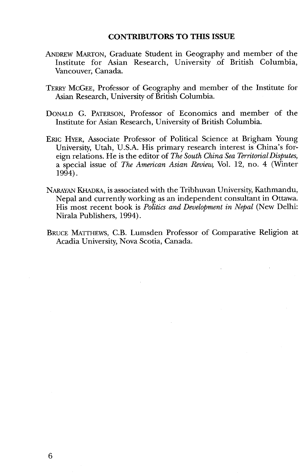#### **CONTRIBUTORS TO THIS ISSUE**

- ANDREW MARTON, Graduate Student in Geography and member of the Institute for Asian Research, University of British Columbia, Vancouver, Canada.
- TERRY MCGEE, Professor of Geography and member of the Institute for Asian Research, University of British Columbia.
- DONALD G. PATERSON, Professor of Economics and member of the Institute for Asian Research, University of British Columbia.
- ERIC HYER, Associate Professor of Political Science at Brigham Young University, Utah, U.S.A. His primary research interest is China's foreign relations. He is the editor of *The South China Sea Territorial Disputes,* a special issue of *The American Asian Review*, Vol. 12, no. 4 (Winter 1994).
- NARAYAN **KHADKA,** is associated with the Tribhuvan University, Kathmandu, Nepal and currently working as an independent consultant in Ottawa. His most recent book is Politics and Development in Nepal (New Delhi: Nirala Publishers, 1994).
- BRUCE MATTHEWS, C.B. Lumsden Professor of Comparative Religion at Acadia University, Nova Scotia, Canada.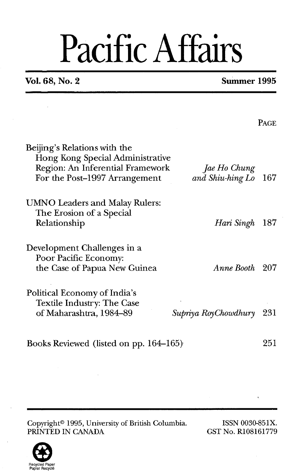# Pacific Affairs

### **Vol. 68, No. 2 Summer 1995**

PAGE

| Beijing's Relations with the<br>Hong Kong Special Administrative<br>Region: An Inferential Framework<br>For the Post-1997 Arrangement | Jae Ho Chung<br>and Shiu-hing Lo | 167 |
|---------------------------------------------------------------------------------------------------------------------------------------|----------------------------------|-----|
| <b>UMNO Leaders and Malay Rulers:</b><br>The Erosion of a Special<br>Relationship                                                     | Hari Singh                       | 187 |
| Development Challenges in a<br>Poor Pacific Economy:<br>the Case of Papua New Guinea                                                  | Anne Booth                       | 207 |
| Political Economy of India's<br>Textile Industry: The Case<br>of Maharashtra, 1984-89                                                 | Supriya RoyChowdhury             | 231 |
| Books Reviewed (listed on pp. 164–165)                                                                                                |                                  | 251 |

Copyright<sup>®</sup> 1995, University of British Columbia. ISSN 0030-851X.<br>
PRINTED IN CANADA GST No. R108161779 PRINTED IN CANADA

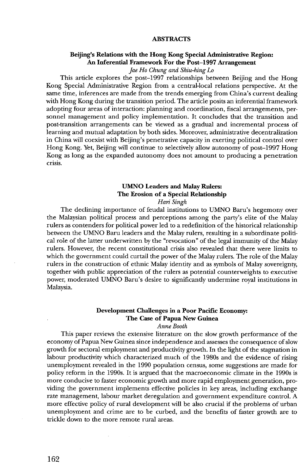#### **ABSTRACTS**

#### **Beijing's Relations with the Hong Kong Special Administrative Region: An Inferential Framework For the Post-1997 Arrangement**

*Jae Ho Chung and Shiu-hing Lo* 

This article explores the post-1997 relationships between Beijing and the Hong Kong Special Administrative Region from a central-local relations perspective. At the same time, inferences are made from the trends emerging from china's current dealing with Hong Kong during the transition period. The article posits an inferential framework adopting four areas of interaction: planning and coordination, fiscal arrangements, personnel management and policy implementation. It concludes that the transition and post-transition arrangements can be viewed as a gradual and incremental process of learning and mutual adaptation by both sides. Moreover, administrative decentralization in China will coexist with Beijing's penetrative capacity in exerting political control over Hong Kong. Yet, Beijing will continue to selectively allow autonomy of post-1997 Hong Kong as long as the expanded autonomy does not amount to producing a penetration crisis.

#### **UMNO Leaders and Malay Rulers: The Erosion of a Special Relationship**

**Hart** *Singh* 

The declining importance of feudal institutions to UMNO Baru's hegemony over the Malaysian political process and perceptions among the party's elite of the Malay rulers as contenders for political power led to a redefinition of the historical relationship between the UMNO Baru leaders and the Malay rulers, resulting in a subordinate political role of the latter underwritten by the "revocation" of the legal immunity of the Malay rulers. However, the recent constitutional crisis also revealed that there were limits to which the government could curtail the power of the Malay rulers. The role of the Malay rulers in the construction of ethnic Malay identity and **as** symbols of Malay sovereignty, together with public appreciation of the rulers as potential counterweights to executive power, moderated UMNO Baru's desire to significantly undermine royal institutions in Malaysia.

#### **Development Challenges in a Poor Pacific Economy: The Case of Papua New Guinea**

*Anne Booth* 

This paper reviews the extensive literature on the slow growth performance of the economy of Papua New Guinea since independence and assesses the consequence of slow growth for sectoral employment and productivity growth. In the light of the stagnation in labour productivity which characterized much of the 1980s and the evidence of rising unemployment revealed in the 1990 population census, some suggestions are made for policy reform in the 1990s. It is argued that the macroeconomic climate in the 1990s is more conducive to faster economic growth and more rapid employment generation, providing the government implements effective policies in key areas, including exchange rate management, labour market deregulation and government expenditure control. A more effective policy of rural development will be also crucial if the problems of urban unemployment and crime are to be curbed, and the benefits of faster growth are to trickle down to the more remote rural areas.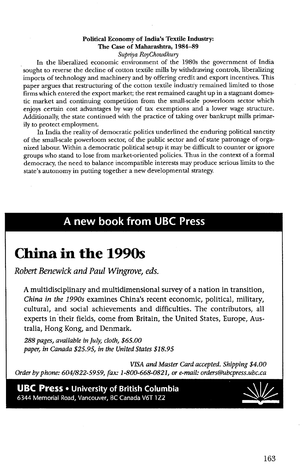#### **Political Economy of India's Textile Industry: The Case of Maharashtra, 1984-89**  *Supriya RoyChowdhury*

In the liberalized economic environment of the 1980s the government of India sought to reverse the decline of cotton textile mills by withdrawing controls, liberalizing imports of technology and machinery and by offering credit and export incentives. This paper argues that restructuring of the cotton textile industry remained limited to those firms which entered the export market; the rest remained caught up in a stagnant domestic market and continuing competition from the small-scale powerloom sector which enjoys certain cost advantages by way of tax exemptions and a lower wage structure. Additionally, the state continued with the practice of taking over bankrupt mills primarily to protect employment.

In India the reality of democratic politics underlined the enduring political sanctity of the small-scale powerloom sector, of the public sector and of state patronage of organized labour. Within a democratic political set-up it may be difficult to counter or ignore groups who stand to lose from market-oriented policies. Thus in the context of a formal democracy, the need to balance incompatible interests may produce serious limits to the state's autonomy in putting together a new developmental strategy.

### A new book from UBC Press

### **China in the 1990s**

*Robert Benewick and Paul Wingrove, eds.* 

**A** multidisciplinary and multidimensional survey of a nation in transition, *China in the 1990s* examines China's recent economic, political, military, cultural, and social achievements and difficulties. The contributors, all experts in their fields, come from Britain, the United States, Europe, Australia, Hong Kong, and Denmark.

*288pages, available in July, cloth, \$65.00 paper, in Canada \$25.95, in the United States \$18.95* 

*VISA and Master Card accepted. Shipping \$4.00 Order by phone: 604/822-5959, fax: 1-800-668-0821, or e-mail: orders@ubcpress.ubc.ca* 

**UBC Press •** University of British Columbia 6344 Memorial Road, Vancouver, BC Canada V6T 1Z2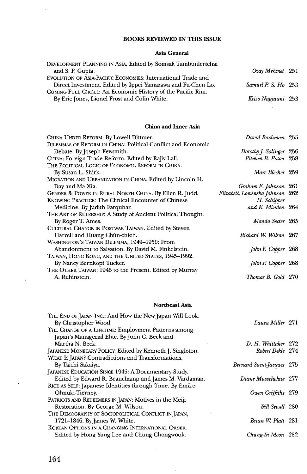#### **BOOKS REVIEWED IN THIS ISSUE**

#### **Asia General**

| DEVELOPMENT PLANNING IN ASIA. Edited by Somsak Tambunlertchai |                     |  |
|---------------------------------------------------------------|---------------------|--|
| and S. P. Gupta.                                              | Ozay Mehmet 251     |  |
| EVOLUTION OF ASIA-PACIFIC ECONOMIES: International Trade and  |                     |  |
| Direct Investment. Edited by Ippei Yamazawa and Fu-Chen Lo.   | Samuel P. S. Ho 253 |  |
| COMING FULL CIRCLE: An Economic History of the Pacific Rim.   |                     |  |
| By Eric Jones, Lionel Frost and Colin White.                  | Keizo Nagatani 253  |  |
|                                                               |                     |  |

#### **China and Inner Asia**

| CHINA UNDER REFORM. By Lowell Dittmer.                       | David Bachman 255              |  |
|--------------------------------------------------------------|--------------------------------|--|
| DILEMMAS OF REFORM IN CHINA: Political Conflict and Economic |                                |  |
| Debate. By Joseph Fewsmith.                                  | Dorothy J. Solinger 256        |  |
| CHINA: Foreign Trade Reform. Edited by Rajiv Lall.           | Pitman B. Potter 258           |  |
| THE POLITICAL LOGIC OF ECONOMIC REFORM IN CHINA.             |                                |  |
| By Susan L. Shirk.                                           | Marc Blecher 259               |  |
| MIGRATION AND URBANIZATION IN CHINA. Edited by Lincoln H.    |                                |  |
| Day and Ma Xia.                                              | Graham E. Johnson 261          |  |
| GENDER & POWER IN RURAL NORTH CHINA. By Ellen R. Judd.       | Elizabeth Lominska Johnson 262 |  |
| <b>KNOWING PRACTICE: The Clinical Encounter of Chinese</b>   | H. Schipper                    |  |
| Medicine. By Judith Farquhar.                                | and K. Minden 264              |  |
| THE ART OF RULERSHIP: A Study of Ancient Political Thought.  |                                |  |
| By Roger T. Ames.                                            | Mondo Secter 265               |  |
| CULTURAL CHANGE IN POSTWAR TAIWAN. Edited by Steven          |                                |  |
| Harrell and Huang Chün-chieh.                                | Richard W. Wilson 267          |  |
| WASHINGTON'S TAIWAN DILEMMA, 1949-1950: From                 |                                |  |
| Abandonment to Salvation. By David M. Finkelstein.           | John F. Copper 268             |  |
| TAIWAN, HONG KONG, AND THE UNITED STATES, 1945-1992.         |                                |  |
| By Nancy Bernkopf Tucker.                                    | John F. Copper 268             |  |
| THE OTHER TAIWAN: 1945 to the Present. Edited by Murray      |                                |  |
| A. Rubinstein.                                               | Thomas B. Gold 270             |  |
|                                                              |                                |  |
| <b>Northeast Asia</b>                                        |                                |  |
| THE END OF JAPAN INC.: And How the New Japan Will Look.      |                                |  |

| By Christopher Wood.                                      | Laura Miller 271          |  |
|-----------------------------------------------------------|---------------------------|--|
| THE CHANGE OF A LIFETIME: Employment Patterns among       |                           |  |
| Japan's Managerial Elite. By John C. Beck and             |                           |  |
| Martha N. Beck.                                           | D. H. Whittaker 272       |  |
| JAPANESE MONETARY POLICY. Edited by Kenneth J. Singleton. | Robert Dekle 274          |  |
| WHAT Is JAPAN? Contradictions and Transformations.        |                           |  |
| By Taichi Sakaiya.                                        | Bernard Saint-Jacques 275 |  |
| JAPANESE EDUCATION SINCE 1945: A Documentary Study.       |                           |  |
| Edited by Edward R. Beauchamp and James M. Vardaman.      | Diane Musselwhite 277     |  |
| RICE AS SELF: Japanese Identities through Time. By Emiko  |                           |  |
| Ohnuki-Tierney.                                           | Owen Griffiths 279        |  |
| PATRIOTS AND REDEEMERS IN JAPAN: Motives in the Meiji     |                           |  |
| Restoration. By George M. Wilson.                         | Bill Sewell 280           |  |
| THE DEMOGRAPHY OF SOCIOPOLITICAL CONFLICT IN JAPAN,       |                           |  |
| 1721–1846. By James W. White.                             | Brian W. Platt 281        |  |
| KOREAN OPTIONS IN A CHANGING INTERNATIONAL ORDER.         |                           |  |
| Edited by Hong Yung Lee and Chung Chongwook.              | Chung-In Moon 282         |  |

 $\bar{\beta}$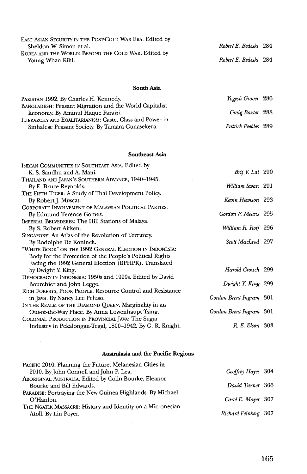| EAST ASIAN SECURITY IN THE POST-COLD WAR ERA. Edited by<br>Sheldon W. Simon et al.<br>KOREA AND THE WORLD: BEYOND THE COLD WAR. Edited by<br>Young Whan Kihl. | Robert E. Bedeski<br>Robert E. Bedeski |
|---------------------------------------------------------------------------------------------------------------------------------------------------------------|----------------------------------------|
|                                                                                                                                                               |                                        |

#### **South Asia**

| PAKISTAN 1992. By Charles H. Kennedy.                                                                       | Yogesh Grover 286   |  |
|-------------------------------------------------------------------------------------------------------------|---------------------|--|
| BANGLADESH: Peasant Migration and the World Capitalist<br>Economy. By Aminul Haque Faraizi.                 | Craig Baxter 288    |  |
| HIERARCHY AND EGALITARIANISM: Caste, Class and Power in<br>Sinhalese Peasant Society. By Tamara Gunasekera. | Patrick Peebles 289 |  |

#### **Southeast Asia**

| Indian Communities in Southeast Asia. Edited by            |                         |  |
|------------------------------------------------------------|-------------------------|--|
| K. S. Sandhu and A. Mani.                                  | Brij V. Lal 290         |  |
| THAILAND AND JAPAN'S SOUTHERN ADVANCE, 1940-1945.          |                         |  |
| By E. Bruce Reynolds.                                      | William Swan 291        |  |
| THE FIFTH TIGER: A Study of Thai Development Policy.       |                         |  |
| By Robert J. Muscat.                                       | Kevin Hewison 293       |  |
| CORPORATE INVOLVEMENT OF MALAYSIAN POLITICAL PARTIES.      |                         |  |
| By Edmund Terence Gomez.                                   | Gordon P. Means 295     |  |
| IMPERIAL BELVEDERES: The Hill Stations of Malaya.          |                         |  |
| By S. Robert Aitken.                                       | William R. Roff 296     |  |
| SINGAPORE: An Atlas of the Revolution of Territory.        |                         |  |
| By Rodolphe De Koninck.                                    | Scott MacLeod 297       |  |
| "WHITE BOOK" ON THE 1992 GENERAL ELECTION IN INDONESIA:    |                         |  |
| Body for the Protection of the People's Political Rights   |                         |  |
| Facing the 1992 General Election (BPHPR). Translated       |                         |  |
| by Dwight Y. King.                                         | Harold Crouch 299       |  |
| DEMOCRACY IN INDONESIA: 1950s and 1990s. Edited by David   |                         |  |
| Bourchier and John Legge.                                  | Dwight Y. King 299      |  |
| RICH FORESTS, POOR PEOPLE. Resource Control and Resistance |                         |  |
| in Java. By Nancy Lee Peluso.                              | Gordon Brent Ingram 301 |  |
| IN THE REALM OF THE DIAMOND QUEEN. Marginality in an       |                         |  |
| Out-of-the-Way Place. By Anna Lowenhaupt Tsing.            | Gordon Brent Ingram 301 |  |
| COLONIAL PRODUCTION IN PROVINCIAL JAVA: The Sugar          |                         |  |
| Industry in Pekalongan-Tegal, 1800–1942. By G. R. Knight.  | R.E. Elson 303          |  |

#### **Australasia and the Pacific Regions**

| PACIFIC 2010: Planning the Future. Melanesian Cities in    |                      |  |
|------------------------------------------------------------|----------------------|--|
| 2010. By John Connell and John P. Lea.                     | Geoffrey Hayes 304   |  |
| ABORIGINAL AUSTRALIA. Edited by Colin Bourke, Eleanor      |                      |  |
| Bourke and Bill Edwards.                                   | David Turner 306     |  |
| PARADISE: Portraying the New Guinea Highlands. By Michael  |                      |  |
| O'Hanlon.                                                  | Carol E. Mayer 307   |  |
| THE NGATIK MASSACRE: History and Identity on a Micronesian |                      |  |
| Atoll. By Lin Poyer.                                       | Richard Feinberg 307 |  |
|                                                            |                      |  |

*Roberf E. Bedeski* 284 *Robert E. Bedeski* 284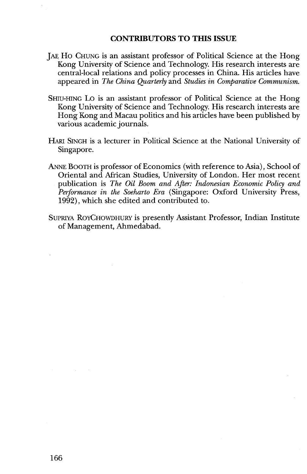#### **CONTRIBUTORS TO THIS ISSUE**

- **JAE.** HO CHUNG is an assistant professor of Political Science at the Hong Kong University of Science and Technology. His research interests are central-local relations and policy processes in China. His articles have appeared in *The China Quarterly* and *Studies in Comparative Communism.*
- SHIU-HING LO is an assistant professor of Political Science at the Hong Kong University of Science and Technology. His research interests are Hong Kong and Macau politics and his articles have been published by various academic journals.
- HARI SINGH isa lecturer in Political Science at the National University of Singapore.
- ANNE BOOTH is professor of Economics (with reference to Asia), School of Oriental and African Studies, University of London. Her most recent publication is *The Oil Boom and After: Indonesian Economic Policy and Performance in the Soeharto Era* (Singapore: Oxford University Press, 1992), which she edited and contributed to.
- SUPRIYA ROYCHOWDHURY is presently Assistant Professor, Indian Institute of Management, Ahmedabad.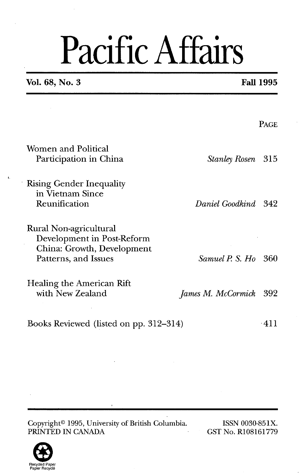# Pacific Affairs

**Vol. 68, No. 3 Fall 1995** 

**4** 

|                                                                                                            |                      | <b>PAGE</b> |
|------------------------------------------------------------------------------------------------------------|----------------------|-------------|
| Women and Political<br>Participation in China                                                              | <b>Stanley Rosen</b> | -315        |
| <b>Rising Gender Inequality</b><br>in Vietnam Since<br>Reunification                                       | Daniel Goodkind      | -342        |
| Rural Non-agricultural<br>Development in Post-Reform<br>China: Growth, Development<br>Patterns, and Issues | Samuel P. S. Ho      | 360         |
| Healing the American Rift<br>with New Zealand                                                              | James M. McCormick   | 392         |
| Books Reviewed (listed on pp. 312–314)                                                                     |                      | $-411$      |

Copyright<sup>®</sup> 1995, University of British Columbia. ISSN 0030-851X.<br>PRINTED IN CANADA GST No. R108161779 PRINTED IN CANADA

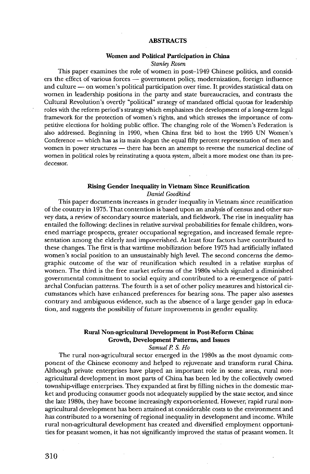#### **ABSTRACTS**

#### **Women and Political Participation in China**

*Stanley Rosen* 

This paper examines the role of women in post-1949 Chinese politics, and consid-Stanley Rosen<br>
This paper examines the role of women in post-1949 Chinese politics, and consid-<br>
ers the effect of various forces -- government policy, modernization, foreign influence<br>
and methods of the stress the stress This paper examines the role of women in post–1949 Chinese politics, and considers the effect of various forces — government policy, modernization, foreign influence and culture — on women's political participation over ti women in leadership positions in the party and state bureaucracies, and contrasts the Cultural Revolution's overtly "political" strategy of mandated official quotas for leadership roles with the reform period's strategy which emphasizes the development of a long-term legal framework for the protection of women's rights, and which stresses the importance of competitive elections for holding public office. The changing role of the Women's Federation is also addressed. Beginning in 1990, when China first **bid** to host the 1995 UN Women's as a conference — which has as its main slogan the equal fifty percent representation of men and women in power structures — there has been an attempt to reverse the numerical decline of women in political roles by reinstituting a quota system, albeit a more modest one than its predecessor.

#### **Rising Gender Inequality in Vietnam Since Reunification**

*Daniel Goodkind* 

This paper documents increases in gender inequality in Vietnam since reunification of the country in 1975. That contention is based upon an analysis of census and other survey data, a review of secondary source materials, and fieldwork. The rise in inequality has entailed the following: declines in relative survival probabilities for female children, worsened marriage prospects, greater occupational segregation, and increased female representation among the elderly and impoverished. At least four factors have contributed to these changes. The first is that wartime mobilization before 1975 had artificially inflated women's social position to an unsustainably high level. The second concerns the demographic outcome of the war of reunification which resulted in a relative surplus of women. The third is the free market reforms of the 1980s which signaled a diminished governmental commitment to social equity and contributed to a re-emergence of patriarchal Confucian patterns. The fourth is a set of other policy measures and historical circumstances which have enhanced preferences for bearing sons. The paper also assesses contrary and ambiguous evidence, such as the absence of a large gender gap in education, and suggests the possibility of future improvements in gender equality.

#### **Rural Non-agricultural Development in Post-Reform China:**   $Growth, Development Patterns, and Issues$

*Samuel* **P.** *S. Ho* 

The rural non-agricultural sector emerged in the 1980s as the most dynamic component of the Chinese economy and helped to rejuvenate and transform rural China. Although private enterprises have played an important role in some areas, rural nonagricultural development in most parts of China has been led by the collectively owned townshipvillage enterprises. They expanded at first by filling niches in the domestic market and producing consumer goods not adequately supplied by the state sector, and since the late 1980s, they have become increasingly export-oriented. However, rapid rural nonagricultural development has been attained at considerable costs to the environment and has contributed to a worsening of regional inequality in development and income. While rural non-agricultural development has created and diversified employment opportunities for peasant women, it has not significantly improved the status of peasant women. It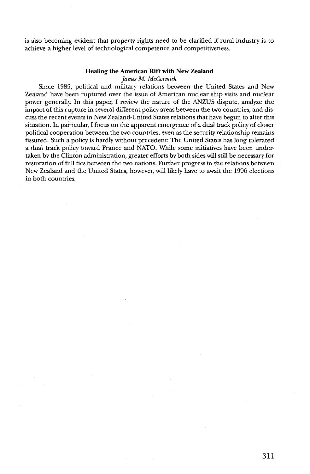is also becoming evident that property rights need to be clarified if rural industry is to achieve a higher level of technological competence and competitiveness.

#### **Healing the American Rift with New Zealand**

*Jam M. McCormick* 

Since 1985, political and military relations between the United States and New Zealand have been ruptured over the issue of American nuclear ship visits and nuclear power generally. In this paper, I review the nature of the ANZUS dispute, analyze the impact of this rupture in several different policy areas between the two countries, and discuss the recent events in New Zealand-United States relations that have begun to alter this situation. In particular, I focus on the apparent emergence of a dual track policy of closer political cooperation between the two countries, even as the security relationship remains fissured. such a policy is hardly without precedent: The United States has longtolerated a dual track policy toward France and NATO. While some initiatives have been undertaken by the Clinton administration, greater efforts by both sides will still be necessary for restoration of full ties between the two nations. Further progress in the relations between New Zealand and the United States, however, will likely have to await the 1996 elections in both countries.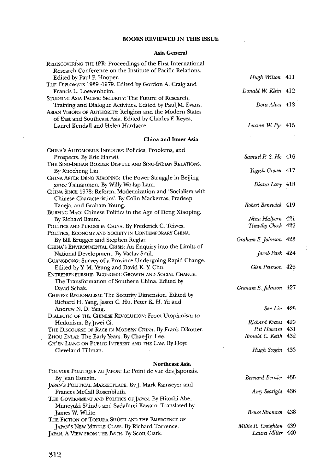#### **BOOKS REVIEWED IN THIS ISSUE**

#### Asia **General**

| REDISCOVERING THE IPR: Proceedings of the First International<br>Research Conference on the Institute of Pacific Relations. |                         |  |
|-----------------------------------------------------------------------------------------------------------------------------|-------------------------|--|
| Edited by Paul F. Hooper.                                                                                                   | Hugh Wilson 411         |  |
| THE DIPLOMATS 1939-1979. Edited by Gordon A. Craig and                                                                      |                         |  |
| Francis L. Loewenheim.                                                                                                      | Donald W. Klein 412     |  |
| STUDYING ASIA PACIFIC SECURITY: The Future of Research,                                                                     |                         |  |
| Training and Dialogue Activities. Edited by Paul M. Evans.                                                                  | Dora Alves 413          |  |
| ASIAN VISIONS OF AUTHORITY: Religion and the Modern States                                                                  |                         |  |
| of East and Southeast Asia. Edited by Charles F. Keyes,                                                                     |                         |  |
| Laurel Kendall and Helen Hardacre.                                                                                          | Lucian W. Pye 415       |  |
| China and Inner Asia                                                                                                        |                         |  |
| CHINA's AUTOMOBILE INDUSTRY: Policies, Problems, and                                                                        |                         |  |
| Prospects. By Eric Harwit.                                                                                                  | Samuel P. S. Ho 416     |  |
| THE SINO-INDIAN BORDER DISPUTE AND SINO-INDIAN RELATIONS.                                                                   |                         |  |
| By Xuecheng Liu.                                                                                                            | Yogesh Grover 417       |  |
| CHINA AFTER DENG XIAOPING: The Power Struggle in Beijing                                                                    |                         |  |
| since Tiananmen. By Willy Wo-lap Lam.                                                                                       | Diana Lary 418          |  |
| CHINA SINCE 1978: Reform, Modernization and 'Socialism with                                                                 |                         |  |
| Chinese Characteristics'. By Colin Mackerras, Pradeep                                                                       |                         |  |
| Taneja, and Graham Young.                                                                                                   | Robert Benewick 419     |  |
| BURYING MAO: Chinese Politics in the Age of Deng Xiaoping.<br>By Richard Baum.                                              | Nina Halpern 421        |  |
| POLITICS AND PURGES IN CHINA. By Frederick C. Teiwes.                                                                       | Timothy Cheek 422       |  |
| POLITICS, ECONOMY AND SOCIETY IN CONTEMPORARY CHINA.                                                                        |                         |  |
| By Bill Brugger and Stephen Reglar.                                                                                         | Graham E. Johnson 423   |  |
| CHINA'S ENVIRONMENTAL CRISIS: An Enquiry into the Limits of                                                                 |                         |  |
| National Development. By Vaclav Smil.                                                                                       | Jacob Park 424          |  |
| GUANGDONG: Survey of a Province Undergoing Rapid Change.                                                                    |                         |  |
| Edited by Y. M. Yeung and David K. Y. Chu.                                                                                  | Glen Peterson 426       |  |
| ENTREPRENEURSHIP, ECONOMIC GROWTH AND SOCIAL CHANGE.                                                                        |                         |  |
| The Transformation of Southern China. Edited by                                                                             |                         |  |
| David Schak.                                                                                                                | Graham E. Johnson 427   |  |
| CHINESE REGIONALISM: The Security Dimension. Edited by                                                                      |                         |  |
| Richard H. Yang, Jason C. Hu, Peter K. H. Yu and<br>Andrew N. D. Yang.                                                      | Sen Lin 428             |  |
| DIALECTIC OF THE CHINESE REVOLUTION: From Utopianism to                                                                     |                         |  |
| Hedonism. By Jiwei Ci.                                                                                                      | Richard Kraus 429       |  |
| THE DISCOURSE OF RACE IN MODERN CHINA. By Frank Dikotter.                                                                   | Pat Howard 431          |  |
| ZHOU ENLAI: The Early Years. By Chae-Jin Lee.                                                                               | Ronald C. Keith 432     |  |
| CH'EN LIANG ON PUBLIC INTEREST AND THE LAW. By Hoyt                                                                         |                         |  |
| Cleveland Tillman.                                                                                                          | Hugh Scogin 433         |  |
|                                                                                                                             |                         |  |
| <b>Northeast Asia</b>                                                                                                       |                         |  |
| POUVOIR POLITIQUE AU JAPON: Le Point de vue des Japonais.<br>By Jean Esmein.                                                | Bernard Bernier 435     |  |
| JAPAN'S POLITICAL MARKETPLACE. By J. Mark Ramseyer and                                                                      |                         |  |
| Frances McCall Rosenbluth.                                                                                                  | Amy Searight 436        |  |
| THE GOVERNMENT AND POLITICS OF JAPAN. By Hitoshi Abe,                                                                       |                         |  |
| Muneyuki Shindo and Sadafumi Kawato. Translated by                                                                          |                         |  |
| James W. White.                                                                                                             | Bruce Stronach 438      |  |
| THE FICTION OF TOKUDA SHÚSEI AND THE EMERGENCE OF                                                                           |                         |  |
| JAPAN'S NEW MIDDLE CLASS. By Richard Torrence.                                                                              | Millie R. Creighton 439 |  |
| JAPAN, A VIEW FROM THE BATH. By Scott Clark.                                                                                | Laura Miller 440        |  |

J.

 $\mathcal{A}_1$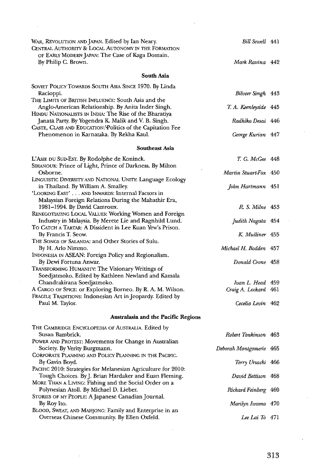| WAR, REVOLUTION AND JAPAN. Edited by Ian Neary.                                                               | Bill Sewell 441                          |  |
|---------------------------------------------------------------------------------------------------------------|------------------------------------------|--|
| CENTRAL AUTHORITY & LOCAL AUTONOMY IN THE FORMATION                                                           |                                          |  |
| OF EARLY MODERN JAPAN: The Case of Kaga Domain.<br>By Philip C. Brown.                                        | Mark Ravina 442                          |  |
| South Asia                                                                                                    |                                          |  |
| SOVIET POLICY TOWARDS SOUTH ASIA SINCE 1970. By Linda                                                         |                                          |  |
| Racioppi.                                                                                                     | Bilveer Singh 443                        |  |
| THE LIMITS OF BRITISH INFLUENCE: South Asia and the                                                           |                                          |  |
| Anglo-American Relationship. By Anita Inder Singh.                                                            | T. A. Keenleyside 445                    |  |
| HINDU NATIONALISTS IN INDIA: The Rise of the Bharatiya<br>Janata Party. By Yogendra K. Malik and V. B. Singh. | Radhika Desai 446                        |  |
| CASTE, CLASS AND EDUCATION: Politics of the Capitation Fee                                                    |                                          |  |
| Phenomenon in Karnataka. By Rekha Kaul.                                                                       | George Kurian 447                        |  |
| <b>Southeast Asia</b>                                                                                         |                                          |  |
| L'Asie du Sud-Est. By Rodolphe de Koninck.                                                                    | T. G. McGee 448                          |  |
| SIHANOUK: Prince of Light, Prince of Darkness. By Milton                                                      |                                          |  |
| Osborne.                                                                                                      | Martin Stuart-Fox 450                    |  |
| LINGUISTIC DIVERSITY AND NATIONAL UNITY: Language Ecology                                                     |                                          |  |
| in Thailand. By William A. Smalley.<br>'LOOKING EAST' AND INWARDS: Internal Factors in                        | John Hartmann 451                        |  |
| Malaysian Foreign Relations During the Mahathir Era,                                                          |                                          |  |
| 1981-1994. By David Camroux.                                                                                  | R. S. Milne 453                          |  |
| RENEGOTIATING LOCAL VALUES: Working Women and Foreign                                                         |                                          |  |
| Industry in Malaysia. By Merete Lie and Ragnhild Lund.                                                        | Judith Nagata 454                        |  |
| To CATCH A TARTAR: A Dissident in Lee Kuan Yew's Prison.                                                      |                                          |  |
| By Francis T. Seow.<br>THE SONGS OF SALANDA: and Other Stories of Sulu.                                       | K. Mulliner 455                          |  |
| By H. Arlo Nimmo.                                                                                             | Michael H. Bodden 457                    |  |
| INDONESIA IN ASEAN: Foreign Policy and Regionalism.                                                           |                                          |  |
| By Dewi Fortuna Anwar.                                                                                        | Donald Crone 458                         |  |
| TRANSFORMING HUMANITY: The Visionary Writings of                                                              |                                          |  |
| Soedjatmoko. Edited by Kathleen Newland and Kamala                                                            |                                          |  |
| Chandrakirana Soedjatmoko.<br>A CARGO OF SPICE: or Exploring Borneo. By R. A. M. Wilson.                      | Ivan L. Head 459<br>Craig A. Lockard 461 |  |
| FRAGILE TRADITIONS: Indonesian Art in Jeopardy. Edited by                                                     |                                          |  |
| Paul M. Taylor.                                                                                               | Cecelia Levin 462                        |  |
| Australasia and the Pacific Regions                                                                           |                                          |  |
| THE CAMBRIDGE ENCYCLOPEDIA OF AUSTRALIA. Edited by                                                            |                                          |  |
| Susan Bambrick.                                                                                               | Robert Tonkinson 463                     |  |
| POWER AND PROTEST: Movements for Change in Australian                                                         |                                          |  |
| Society. By Verity Burgmann.                                                                                  | Deborah Montgomerie 465                  |  |
| CORPORATE PLANNING AND POLICY PLANNING IN THE PACIFIC.                                                        |                                          |  |
| By Gavin Boyd.<br>PACIFIC 2010: Strategies for Melanesian Agriculture for 2010:                               | Terry Ursacki 466                        |  |
| Tough Choices. By J. Brian Hardaker and Euan Fleming.                                                         | David Bettison 468                       |  |
| MORE THAN A LIVING: Fishing and the Social Order on a                                                         |                                          |  |
| Polynesian Atoll. By Michael D. Lieber.                                                                       | Richard Feinberg 469                     |  |
| STORIES OF MY PEOPLE: A Japanese Canadian Journal.                                                            |                                          |  |
| By Roy Ito.<br>BLOOD, SWEAT, AND MAHJONG: Family and Enterprise in an                                         | Marilyn Iwama 470                        |  |
| Overseas Chinese Community. By Ellen Oxfeld.                                                                  | Lee Lai To 471                           |  |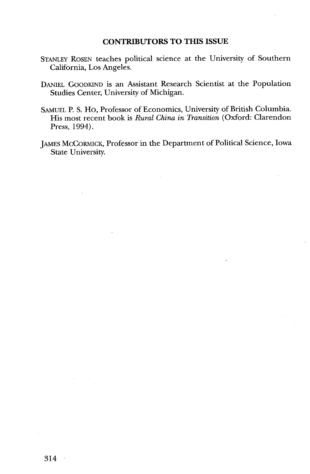#### **CONTRIBUTORS TO THIS ISSUE**

- STANLEY ROSEN teaches political science at the University of Southern California, Los Angeles.
- DANIEL GOODKIND is an Assistant Research Scientist at the Population Studies Center, University of Michigan.
- SAMUEL P. S. Ho, Professor of Economics, University of British Columbia. His most recent book is *Rural China in Transition* (Oxford: Clarendon Press, 1994).
- JAMES MCCORMICK, Professor in the Department of Political Science, Iowa State University.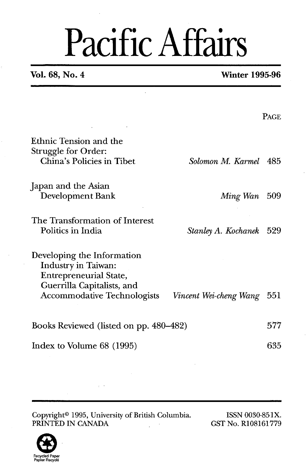## Pacific Affairs

 $\ddot{\phantom{a}}$ 

#### **Vol. 68, No. 4 Winter 1995-96**

|                                                                                                                  |                        | PAGE |
|------------------------------------------------------------------------------------------------------------------|------------------------|------|
| Ethnic Tension and the<br>Struggle for Order:<br>China's Policies in Tibet                                       | Solomon M. Karmel      | 485  |
| Japan and the Asian<br>Development Bank                                                                          | Ming Wan               | -509 |
| The Transformation of Interest<br>Politics in India                                                              | Stanley A. Kochanek    | 529  |
| Developing the Information<br>Industry in Taiwan:<br><b>Entrepreneurial State,</b><br>Guerrilla Capitalists, and |                        |      |
| Accommodative Technologists                                                                                      | Vincent Wei-cheng Wang | 551  |
| Books Reviewed (listed on pp. 480–482)                                                                           |                        | 577  |
| Index to Volume 68 (1995)                                                                                        |                        | 635  |

Copyright<sup>®</sup> 1995, University of British Columbia. ISSN 0030-851X.<br>PRINTED IN CANADA GST No. R108161779 PRINTED IN CANADA

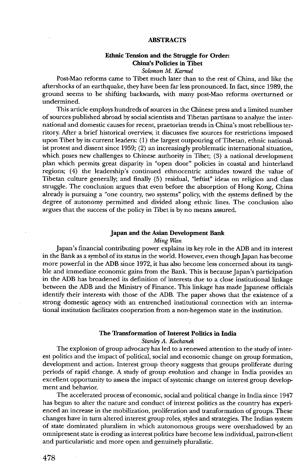#### **ABSTRACTS**

#### **Ethnic Tension and the Struggle for Order: China's Policies in Tibet**

*Solomon* **M.** *Kannel* 

Post-Mao reforms came to Tibet much later than to the rest of China, and like the aftershocks of an earthquake, they have been far less pronounced. In fact, since 1989, the ground seems to be shifting backwards, with many post-Mao reforms overturned or undermined.

This article employs hundreds of sources in the Chinese press and a limited number of sources published abroad by social scientists and Tibetan partisans to analyze the international and domestic causes for recent, praetorian trends in China's most rebellious territory. After a brief historical overview, it discusses five sources for restrictions imposed upon Tibet by its current leaders: (1) the largest outpouring of Tibetan, ethnic nationalist protest and dissent since 1959; (2) an increasingly problematic international situation, which poses new challenges to Chinese authority in Tibet; **(3)** a national development plan which permits great disparity in "open door" policies in coastal and hinterland regions; (4) the leadership's continued ethnocentric attitudes toward the value of Tibetan culture generally; and finally (5) residual, "leftist" ideas on religion and class struggle. The conclusion argues that even before the absorption of Hong Kong, China already is pursuing a "one country, two systems" policy, with the systems defined by the degree of autonomy permitted and divided along ethnic lines. The conclusion also argues that the success of the policy in Tibet is by no means assured.

#### **Japan and the Asian Development Bank**

*Ming Wan* 

Japan's financial contributing power explains its key role in the ADB and its interest in the Bank as a symbol of its status in the world. However, even though Japan has become more powerful in the ADB since 1972, it has also become less concerned about its tangible and immediate economic gains from the Bank. This is because Japan's participation in the ADB has broadened its definition of interests due to a close institutional linkage between the ADB and the Ministry of Finance. This linkage has made Japanese officials identify their interests with those of the ADB. The paper shows that the existence of a strong domestic agency with an entrenched institutional connection with an international institution facilitates cooperation from a non-hegemon state in the institution.

#### **The Transformation of Interest Politics in India**

*Stanley* **A.** *Kochamk* 

The explosion of group advocacy has led to a renewed attention to the study of interest politics and the impact of political, social and economic change on group formation, development and action. Interest group theory suggests that groups proliferate during periods of rapid change. **A** study of group evolution and change in India provides an excellent opportunity to assess the impact of systemic change on interest group develop ment and behavior.

The accelerated process of economic, social and political change in India since 1947 has begun to alter the nature and conduct of interest politics as the country has experienced an increase in the mobilization, proliferation and transformation of groups. These changes have in turn altered interest group roles, styles and strategies. The Indian system of state dominated pluralism in which autonomous groups were overshadowed by an omnipresent state is eroding **as** interest politics have become less individual, patron-client and particularistic and more open and genuinely pluralistic.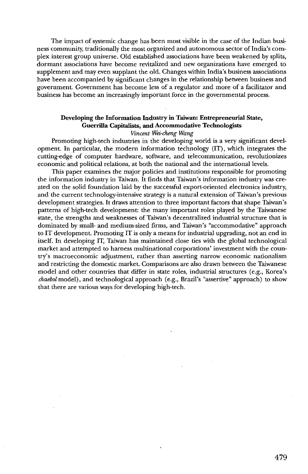The impact of systemic change has been most visible in the case of the Indian business community, traditionally the most organized and autonomous sector of India's complex interest group universe. Old established associations have been weakened by splits, dormant' associations have become revitalized and new organizations have emerged. to supplement and may even supplant the old. Changes within India's business associations have been accompanied by significant changes in the relationship between business and government. Government has become less of a regulator and more of a facilitator and business has become an increasingly important force in the governmental process.

#### **Developing the Information Industry in Taiwan: Entrepreneurial State, Guerrilla Capitalists, and Accommodative Technologists Vincent Wei-cheng Wang**

Promoting high-tech industries in the developing world is a very significant development. In particular, the modern information technology (IT), which integrates the cutting-edge of computer hardware, software, and telecommunication, revolutionizes economic and political relations, at both the national and the international levels.

This paper examines the major policies and institutions responsible for promoting the information industry in Taiwan. It finds that Taiwan's information industry was created on the solid foundation laid by the successful export-oriented electronics industry, and the current technology-intensive strategy is a natural extension of Taiwan's previous development strategies. It draws attention to three important factors that shape Taiwan's patterns of high-tech development: the many important roles played by the Taiwanese state, the strengths and weaknesses of Taiwan's decentralized industrial structure that is dominated by small- and medium-sized firms, and Taiwan's "accommodative" approach to IT development. Promoting IT is only a means for industrial upgrading, not an end in itself. In developing IT, Taiwan has maintained close ties with the global technological market and attempted to harness multinational corporations' investment with the country's macroeconomic adjustment, rather than asserting narrow economic nationalism and restricting the domestic market. Comparisons are also drawn between the Taiwanese model and other countries that differ in state roles, industrial structures (e.g., Korea's **chuebol** model), and technological approach (e.g., Brazil's "assertive" approach) to show that there are various ways for developing high-tech.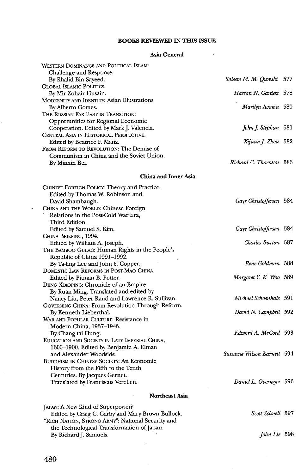#### **BOOKS REVIEWED IN THIS ISSUE**

#### **Asia General**

 $\mathcal{L}_{\rm{max}}$  and  $\mathcal{L}_{\rm{max}}$ 

| WESTERN DOMINANCE AND POLITICAL ISLAM:                                                    |                            |     |
|-------------------------------------------------------------------------------------------|----------------------------|-----|
| Challenge and Response.<br>By Khalid Bin Sayeed.                                          | Saleem M. M. Qureshi       | 577 |
| <b>GLOBAL ISLAMIC POLITICS.</b>                                                           |                            |     |
| By Mir Zohair Husain.                                                                     | Hassan N. Gardezi 578      |     |
| MODERNITY AND IDENTITY: Asian Illustrations.                                              |                            |     |
| By Alberto Gomes.                                                                         | Marilyn Iwama 580          |     |
| THE RUSSIAN FAR EAST IN TRANSITION:                                                       |                            |     |
| Opportunities for Regional Economic                                                       |                            |     |
| Cooperation. Edited by Mark J. Valencia.                                                  | John J. Stephan 581        |     |
| CENTRAL ASIA IN HISTORICAL PERSPECTIVE.                                                   |                            |     |
| Edited by Beatrice F. Manz.                                                               | Xijuan J. Zhou 582         |     |
| FROM REFORM TO REVOLUTION: The Demise of                                                  |                            |     |
| Communism in China and the Soviet Union.                                                  |                            |     |
| By Minxin Bei.                                                                            | Richard C. Thornton 583    |     |
| <b>China and Inner Asia</b>                                                               |                            |     |
| CHINESE FOREIGN POLICY: Theory and Practice.                                              |                            |     |
| Edited by Thomas W. Robinson and                                                          |                            |     |
| David Shambaugh.                                                                          | Gaye Christoffersen 584    |     |
| CHINA AND THE WORLD: Chinese Foreign                                                      |                            |     |
| Relations in the Post-Cold War Era,                                                       |                            |     |
| Third Edition.                                                                            |                            |     |
| Edited by Samuel S. Kim.                                                                  | Gaye Christoffersen 584    |     |
| CHINA BRIEFING, 1994.                                                                     |                            |     |
| Edited by William A. Joseph.                                                              | Charles Burton 587         |     |
| THE BAMBOO GULAG: Human Rights in the People's                                            |                            |     |
| Republic of China 1991-1992.                                                              |                            |     |
| By Ta ling Lee and John F. Copper.                                                        | Rene Goldman 588           |     |
| DOMESTIC LAW REFORMS IN POST-MAO CHINA.                                                   |                            |     |
| Edited by Pitman B. Potter.                                                               | Margaret Y. K. Woo 589     |     |
| DENG XIAOPING: Chronicle of an Empire.                                                    |                            |     |
| By Ruan Ming. Translated and edited by<br>Nancy Liu, Peter Rand and Lawrence R. Sullivan. | Michael Schoenhals 591     |     |
| GOVERNING CHINA: From Revolution Through Reform.                                          |                            |     |
| By Kenneth Lieberthal.                                                                    | David N. Campbell 592      |     |
| WAR AND POPULAR CULTURE: Resistance in                                                    |                            |     |
| Modern China, 1937-1945.                                                                  |                            |     |
| By Chang-tai Hung.                                                                        | Edward A. McCord 593       |     |
| EDUCATION AND SOCIETY IN LATE IMPERIAL CHINA,                                             |                            |     |
| 1600–1900. Edited by Benjamin A. Elman                                                    |                            |     |
| and Alexander Woodside.                                                                   | Suzanne Wilson Barnett 594 |     |
| <b>BUDDHISM IN CHINESE SOCIETY: An Economic</b>                                           |                            |     |
| History from the Fifth to the Tenth                                                       |                            |     |
| Centuries. By Jacques Gernet.                                                             |                            |     |
| Translated by Franciscus Verellen.                                                        | Daniel L. Overmyer 596     |     |
| <b>Northeast Asia</b>                                                                     |                            |     |
| JAPAN: A New Kind of Superpower?                                                          |                            |     |
| Edited by Craig C. Garby and Mary Brown Bullock.                                          | Scott Schnell 597          |     |
| "RICH NATION, STRONG ARMY": National Security and                                         |                            |     |
| the Technological Transformation of Japan.                                                |                            |     |
| By Richard J. Samuels.                                                                    | John Lie 598               |     |
|                                                                                           |                            |     |

 $\hat{\boldsymbol{\beta}}$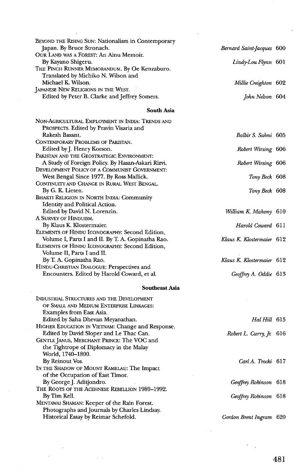| BEYOND THE RISING SUN: Nationalism in Contemporary |                           |  |
|----------------------------------------------------|---------------------------|--|
| Japan. By Bruce Stronach.                          | Bernard Saint-Jacques 600 |  |
| OUR LAND WAS A FOREST: An Ainu Memoir.             |                           |  |
| By Kayano Shigeru.                                 | Lindy-Lou Flynn 601       |  |
| THE PINCH RUNNER MEMORANDUM. By Oe Kenzaburo.      |                           |  |
| Translated by Michiko N. Wilson and                |                           |  |
| Michael K. Wilson.                                 | Millie Creighton 602      |  |
| JAPANESE NEW RELIGIONS IN THE WEST.                |                           |  |
| Edited by Peter B. Clarke and Jeffrey Somers.      | John Nelson 604           |  |
|                                                    |                           |  |

#### **South Asia**

| Non-Agricultural Employment in India: Trends and  |                           |  |
|---------------------------------------------------|---------------------------|--|
| PROSPECTS. Edited by Pravin Visaria and           |                           |  |
| Rakesh Basant.                                    | Balbir S. Sahni 605       |  |
| CONTEMPORARY PROBLEMS OF PAKISTAN.                |                           |  |
| Edited by J. Henry Korson.                        | Robert Wirsing 606        |  |
| PAKISTAN AND THE GEOSTRATEGIC ENVIRONMENT:        |                           |  |
| A Study of Foreign Policy. By Hasan-Askari Rizvi. | Robert Wirsing 606        |  |
| DEVELOPMENT POLICY OF A COMMUNIST GOVERNMENT:     |                           |  |
| West Bengal Since 1977. By Ross Mallick.          | Tony Beck 608             |  |
| CONTINUITY AND CHANGE IN RURAL WEST BENGAL.       |                           |  |
| By G. K. Lieten.                                  | Tony Beck 608             |  |
| <b>BHAKTI RELIGION IN NORTH INDIA: Community</b>  |                           |  |
| Identity and Political Action.                    |                           |  |
| Edited by David N. Lorenzin.                      | William K. Mahony 610     |  |
| A SURVEY OF HINDUISM.                             |                           |  |
| By Klaus K. Klostermaier.                         | Harold Coward 611         |  |
| ELEMENTS OF HINDU ICONOGRAPHY: Second Edition,    |                           |  |
| Volume I, Parts I and II. By T. A. Gopinatha Rao. | Klaus K. Klostermaier 612 |  |
| ELEMENTS OF HINDU ICONOGRAPHY: Second Edition,    |                           |  |
| Volume II, Parts I and II.                        |                           |  |
| By T. A. Gopinatha Rao.                           | Klaus K. Klostermaier 612 |  |
| HINDU-CHRISTIAN DIALOGUE: Perspectives and        |                           |  |
| Encounters. Edited by Harold Coward, et al.       | Geoffrey A. Oddie 613     |  |
|                                                   |                           |  |

#### **Southeast Asia**

| INDUSTRIAL STRUCTURES AND THE DEVELOPMENT         |                                       |  |
|---------------------------------------------------|---------------------------------------|--|
| OF SMALL AND MEDIUM ENTERPRISE LINKAGES:          |                                       |  |
| Examples from East Asia.                          |                                       |  |
| Edited by Saha Dhevan Meyanathan.                 | <i>Hal Hill</i> 615                   |  |
| HIGHER EDUCATION IN VIETNAM: Change and Response. |                                       |  |
| Edited by David Sloper and Le Thac Can.           | Robert L. Curry, $\mathfrak{f}_r$ 616 |  |
| GENTLE JANUS, MERCHANT PRINCE: The VOC and        |                                       |  |
| the Tightrope of Diplomacy in the Malay           |                                       |  |
| World, 1740–1800.                                 |                                       |  |
| By Reinout Vos.                                   | Carl A. Trocki 617                    |  |
| IN THE SHADOW OF MOUNT RAMELAU: The Impact        |                                       |  |
| of the Occupation of East Timor.                  |                                       |  |
| By George J. Aditiondro.                          | Geoffrey Robinson 618                 |  |
| THE ROOTS OF THE ACEHNESE REBELLION 1989-1992.    |                                       |  |
| By Tim Kell.                                      | Geoffrey Robinson 618                 |  |
| MENTAWAI SHAMAN: Keeper of the Rain Forest.       |                                       |  |
| Photographs and Journals by Charles Lindsay.      |                                       |  |
| Historical Essay by Reimar Schefold.              | Gordon Brent Ingram 620               |  |

 $\sim$   $\alpha$ 

 $\alpha=1$ 

 $\bar{z}$ 

481

 $\overline{a}$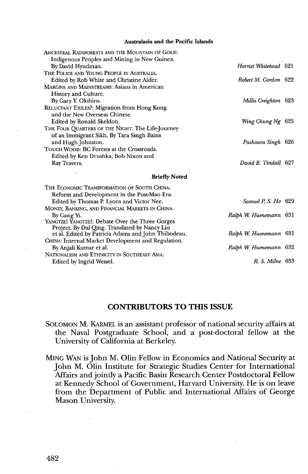#### **Australasia and the Pacific Islands**

| ANCESTRAL RAINFORESTS AND THE MOUNTAIN OF GOLD:     |                        |  |
|-----------------------------------------------------|------------------------|--|
| Indigenous Peoples and Mining in New Guinea.        |                        |  |
| By David Hyndman.                                   | Harriet Whitehead 621  |  |
| THE POLICE AND YOUNG PEOPLE IN AUSTRALIA.           |                        |  |
| Edited by Rob White and Christine Alder.            | Robert M. Gordon 622   |  |
| MARGINS AND MAINSTREAMS: Asians in American         |                        |  |
| History and Culture.                                |                        |  |
| By Gary Y. Okihiro.                                 | Millie Creighton 623   |  |
| RELUCTANT EXILES?: Migration from Hong Kong         |                        |  |
| and the New Overseas Chinese.                       |                        |  |
| Edited by Ronald Skeldon.                           | Wing Chung Ng 625      |  |
| THE FOUR QUARTERS OF THE NIGHT: The Life-Journey    |                        |  |
| of an Immigrant Sikh. By Tara Singh Bains           |                        |  |
| and Hugh Johnston.                                  | Pashaura Singh 626     |  |
| TOUCH WOOD: BC Forests at the Crossroads.           |                        |  |
| Edited by Ken Drushka, Bob Nixon and                |                        |  |
| Ray Travers.                                        | David B. Tindall 627   |  |
| <b>Briefly Noted</b>                                |                        |  |
| THE ECONOMIC TRANSFORMATION OF SOUTH CHINA:         |                        |  |
| Reform and Development in the Post-Mao Era.         |                        |  |
| Edited by Thomas P. Lyons and Victor Nee.           | Samuel P. S. Ho 629    |  |
| MONEY, BANKING, AND FINANCIAL MARKETS IN CHINA.     |                        |  |
| By Gang Yi.                                         | Ralph W. Huenemann 631 |  |
| YANGTZE! YANGTZE!: Debate Over the Three Gorges     |                        |  |
| Project. By Dai Qing. Translated by Nancy Liu       |                        |  |
| et al. Edited by Patricia Adams and John Thibodeau. | Ralph W. Huenemann 631 |  |
| CHINA: Internal Market Development and Regulation.  |                        |  |
| By Anjali Kumar et al.                              | Ralph W. Huenemann 632 |  |
| NATIONALISM AND ETHNICITY IN SOUTHEAST ASIA.        |                        |  |
| Edited by Ingrid Wessel.                            | R. S. Milne 633        |  |
|                                                     |                        |  |

#### **CONTRIBUTORS TO THIS ISSUE**

SOLOMON M. KARMEL is an assistant professor of national security affairs at the Naval Postgraduate School, and a post-doctoral fellow at the University of California at Berkeley.

MING WAN is John M. Olin Fellow in Economics and National Security at John M. Olin Institute for Strategic Studies Center for International Affairs and jointly a Pacific Basin Research Center Postdoctoral Fellow at Kennedy School of Government, Harvard University. He is on leave from the Department of Public and International Affairs of George Mason University.